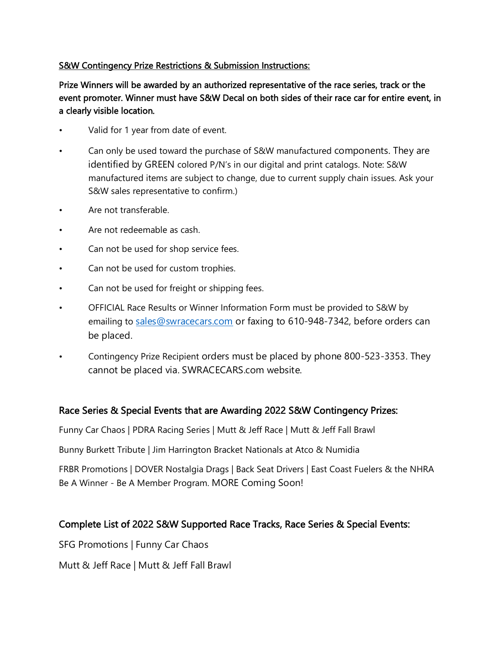## S&W Contingency Prize Restrictions & Submission Instructions:

Prize Winners will be awarded by an authorized representative of the race series, track or the event promoter. Winner must have S&W Decal on both sides of their race car for entire event, in a clearly visible location.

- Valid for 1 year from date of event.
- Can only be used toward the purchase of S&W manufactured components. They are identified by GREEN colored P/N's in our digital and print catalogs. Note: S&W manufactured items are subject to change, due to current supply chain issues. Ask your S&W sales representative to confirm.)
- Are not transferable.
- Are not redeemable as cash.
- Can not be used for shop service fees.
- Can not be used for custom trophies.
- Can not be used for freight or shipping fees.
- OFFICIAL Race Results or Winner Information Form must be provided to S&W by emailing to [sales@swracecars.com](mailto:sales@swracecars.com) or faxing to 610-948-7342, before orders can be placed.
- Contingency Prize Recipient orders must be placed by phone 800-523-3353. They cannot be placed via. SWRACECARS.com website.

## Race Series & Special Events that are Awarding 2022 S&W Contingency Prizes:

Funny Car Chaos | PDRA Racing Series | Mutt & Jeff Race | Mutt & Jeff Fall Brawl

Bunny Burkett Tribute | Jim Harrington Bracket Nationals at Atco & Numidia

FRBR Promotions | DOVER Nostalgia Drags | Back Seat Drivers | East Coast Fuelers & the NHRA Be A Winner - Be A Member Program. MORE Coming Soon!

## Complete List of 2022 S&W Supported Race Tracks, Race Series & Special Events:

SFG Promotions | Funny Car Chaos

Mutt & Jeff Race | Mutt & Jeff Fall Brawl